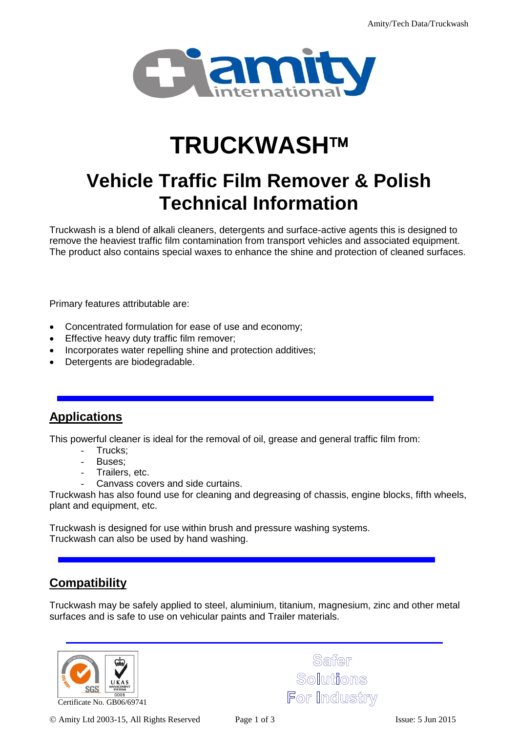

# **TRUCKWASH**

# **Vehicle Traffic Film Remover & Polish Technical Information**

Truckwash is a blend of alkali cleaners, detergents and surface-active agents this is designed to remove the heaviest traffic film contamination from transport vehicles and associated equipment. The product also contains special waxes to enhance the shine and protection of cleaned surfaces.

Primary features attributable are:

- Concentrated formulation for ease of use and economy;
- **Effective heavy duty traffic film remover;**
- Incorporates water repelling shine and protection additives;
- Detergents are biodegradable.

#### **Applications**

This powerful cleaner is ideal for the removal of oil, grease and general traffic film from:

- Trucks;
- Buses;
- Trailers, etc.
- Canvass covers and side curtains.

Truckwash has also found use for cleaning and degreasing of chassis, engine blocks, fifth wheels, plant and equipment, etc.

Truckwash is designed for use within brush and pressure washing systems. Truckwash can also be used by hand washing.

#### **Compatibility**

Truckwash may be safely applied to steel, aluminium, titanium, magnesium, zinc and other metal surfaces and is safe to use on vehicular paints and Trailer materials.



Saffer Solutions For Industry

Amity Ltd 2003-15, All Rights Reserved Page 1 of 3 Issue: 5 Jun 2015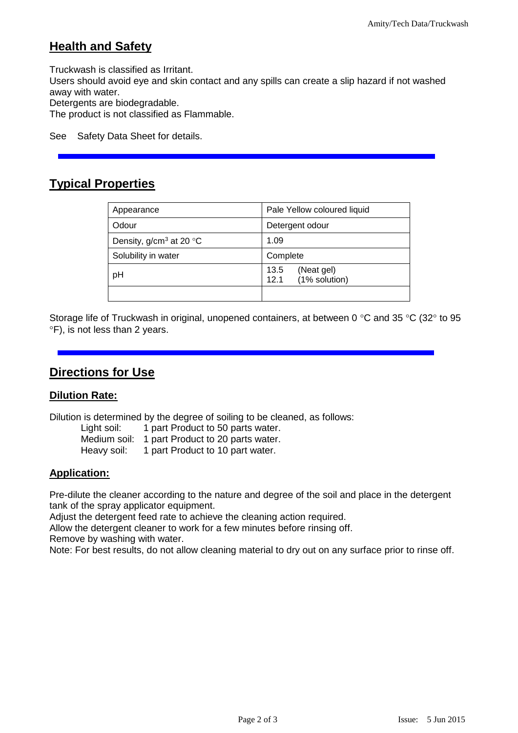## **Health and Safety**

Truckwash is classified as Irritant.

Users should avoid eye and skin contact and any spills can create a slip hazard if not washed away with water.

Detergents are biodegradable.

The product is not classified as Flammable.

See Safety Data Sheet for details.

# **Typical Properties**

| Appearance                 | Pale Yellow coloured liquid                 |
|----------------------------|---------------------------------------------|
| Odour                      | Detergent odour                             |
| Density, $g/cm^3$ at 20 °C | 1.09                                        |
| Solubility in water        | Complete                                    |
| pH                         | 13.5<br>(Neat gel)<br>(1% solution)<br>12.1 |
|                            |                                             |

Storage life of Truckwash in original, unopened containers, at between 0 °C and 35 °C (32° to 95  $\degree$ F), is not less than 2 years.

#### **Directions for Use**

#### **Dilution Rate:**

Dilution is determined by the degree of soiling to be cleaned, as follows:

| Light soil:  | 1 part Product to 50 parts water. |
|--------------|-----------------------------------|
| Medium soil: | 1 part Product to 20 parts water. |
| Heavy soil:  | 1 part Product to 10 part water.  |

#### **Application:**

Pre-dilute the cleaner according to the nature and degree of the soil and place in the detergent tank of the spray applicator equipment.

Adjust the detergent feed rate to achieve the cleaning action required.

Allow the detergent cleaner to work for a few minutes before rinsing off.

Remove by washing with water.

Note: For best results, do not allow cleaning material to dry out on any surface prior to rinse off.